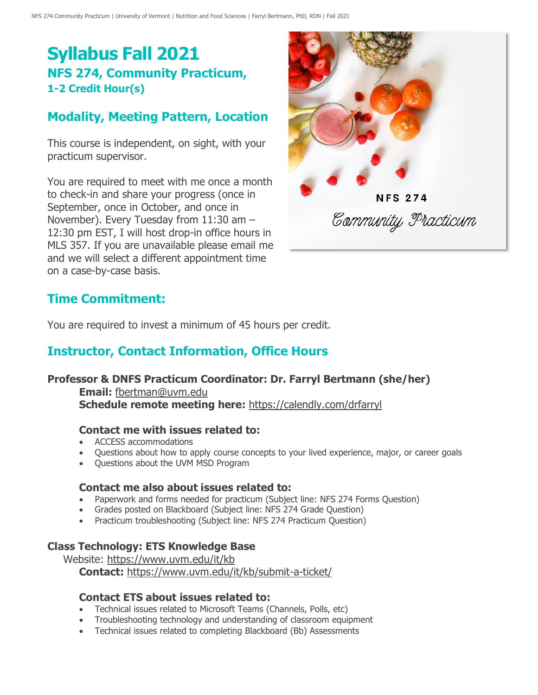# **Syllabus Fall 2021 NFS 274, Community Practicum, 1-2 Credit Hour(s)**

## **Modality, Meeting Pattern, Location**

This course is independent, on sight, with your practicum supervisor.

You are required to meet with me once a month to check-in and share your progress (once in September, once in October, and once in November). Every Tuesday from 11:30 am – 12:30 pm EST, I will host drop-in office hours in MLS 357. If you are unavailable please email me and we will select a different appointment time on a case-by-case basis.



#### **Time Commitment:**

You are required to invest a minimum of 45 hours per credit.

## **Instructor, Contact Information, Office Hours**

#### **Professor & DNFS Practicum Coordinator: Dr. Farryl Bertmann (she/her)**

**Email:** [fbertman@uvm.edu](mailto:fbertman@uvm.edu) **Schedule remote meeting here:** <https://calendly.com/drfarryl>

#### **Contact me with issues related to:**

- ACCESS accommodations
- Questions about how to apply course concepts to your lived experience, major, or career goals
- Questions about the UVM MSD Program

#### **Contact me also about issues related to:**

- Paperwork and forms needed for practicum (Subject line: NFS 274 Forms Question)
- Grades posted on Blackboard (Subject line: NFS 274 Grade Question)
- Practicum troubleshooting (Subject line: NFS 274 Practicum Question)

#### **Class Technology: ETS Knowledge Base**

Website:<https://www.uvm.edu/it/kb> **Contact:** <https://www.uvm.edu/it/kb/submit-a-ticket/>

#### **Contact ETS about issues related to:**

- Technical issues related to Microsoft Teams (Channels, Polls, etc)
- Troubleshooting technology and understanding of classroom equipment
- Technical issues related to completing Blackboard (Bb) Assessments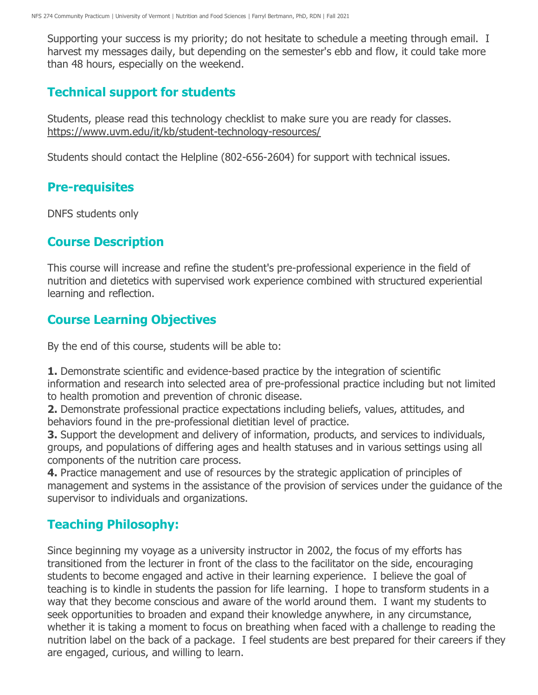Supporting your success is my priority; do not hesitate to schedule a meeting through email. I harvest my messages daily, but depending on the semester's ebb and flow, it could take more than 48 hours, especially on the weekend.

## **Technical support for students**

Students, please read this technology checklist to make sure you are ready for classes. <https://www.uvm.edu/it/kb/student-technology-resources/>

Students should contact the Helpline (802-656-2604) for support with technical issues.

## **Pre-requisites**

DNFS students only

## **Course Description**

This course will increase and refine the student's pre-professional experience in the field of nutrition and dietetics with supervised work experience combined with structured experiential learning and reflection.

# **Course Learning Objectives**

By the end of this course, students will be able to:

**1.** Demonstrate scientific and evidence-based practice by the integration of scientific information and research into selected area of pre-professional practice including but not limited to health promotion and prevention of chronic disease.

**2.** Demonstrate professional practice expectations including beliefs, values, attitudes, and behaviors found in the pre-professional dietitian level of practice.

**3.** Support the development and delivery of information, products, and services to individuals, groups, and populations of differing ages and health statuses and in various settings using all components of the nutrition care process.

**4.** Practice management and use of resources by the strategic application of principles of management and systems in the assistance of the provision of services under the guidance of the supervisor to individuals and organizations.

# **Teaching Philosophy:**

Since beginning my voyage as a university instructor in 2002, the focus of my efforts has transitioned from the lecturer in front of the class to the facilitator on the side, encouraging students to become engaged and active in their learning experience. I believe the goal of teaching is to kindle in students the passion for life learning. I hope to transform students in a way that they become conscious and aware of the world around them. I want my students to seek opportunities to broaden and expand their knowledge anywhere, in any circumstance, whether it is taking a moment to focus on breathing when faced with a challenge to reading the nutrition label on the back of a package. I feel students are best prepared for their careers if they are engaged, curious, and willing to learn.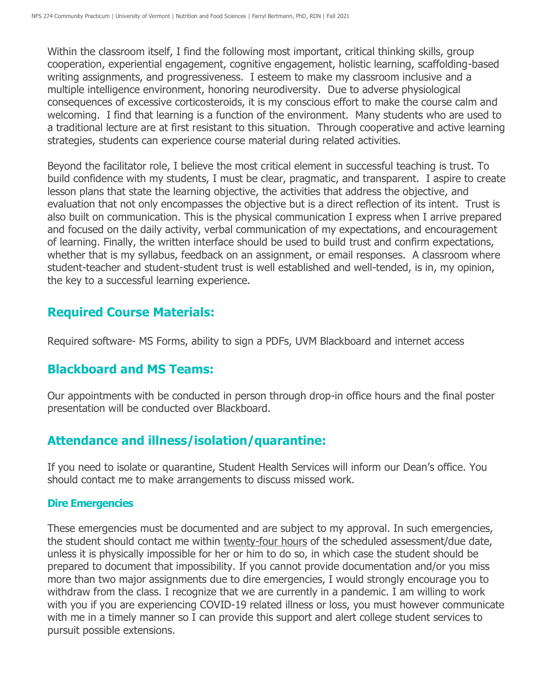Within the classroom itself, I find the following most important, critical thinking skills, group cooperation, experiential engagement, cognitive engagement, holistic learning, scaffolding-based writing assignments, and progressiveness. I esteem to make my classroom inclusive and a multiple intelligence environment, honoring neurodiversity. Due to adverse physiological consequences of excessive corticosteroids, it is my conscious effort to make the course calm and welcoming. I find that learning is a function of the environment. Many students who are used to a traditional lecture are at first resistant to this situation. Through cooperative and active learning strategies, students can experience course material during related activities.

Beyond the facilitator role, I believe the most critical element in successful teaching is trust. To build confidence with my students, I must be clear, pragmatic, and transparent. I aspire to create lesson plans that state the learning objective, the activities that address the objective, and evaluation that not only encompasses the objective but is a direct reflection of its intent. Trust is also built on communication. This is the physical communication I express when I arrive prepared and focused on the daily activity, verbal communication of my expectations, and encouragement of learning. Finally, the written interface should be used to build trust and confirm expectations, whether that is my syllabus, feedback on an assignment, or email responses. A classroom where student-teacher and student-student trust is well established and well-tended, is in, my opinion, the key to a successful learning experience.

#### **Required Course Materials:**

Required software- MS Forms, ability to sign a PDFs, UVM Blackboard and internet access

## **Blackboard and MS Teams:**

Our appointments with be conducted in person through drop-in office hours and the final poster presentation will be conducted over Blackboard.

## **Attendance and illness/isolation/quarantine:**

If you need to isolate or quarantine, Student Health Services will inform our Dean's office. You should contact me to make arrangements to discuss missed work.

#### **Dire Emergencies**

These emergencies must be documented and are subject to my approval. In such emergencies, the student should contact me within twenty-four hours of the scheduled assessment/due date, unless it is physically impossible for her or him to do so, in which case the student should be prepared to document that impossibility. If you cannot provide documentation and/or you miss more than two major assignments due to dire emergencies, I would strongly encourage you to withdraw from the class. I recognize that we are currently in a pandemic. I am willing to work with you if you are experiencing COVID-19 related illness or loss, you must however communicate with me in a timely manner so I can provide this support and alert college student services to pursuit possible extensions.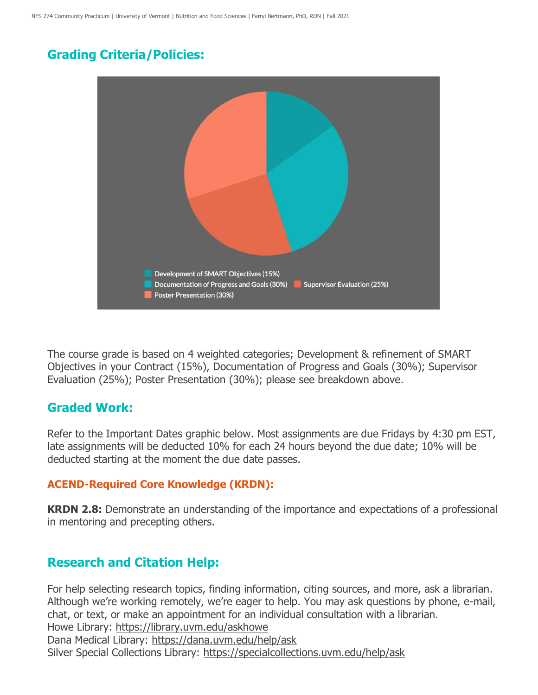## **Grading Criteria/Policies:**



The course grade is based on 4 weighted categories; Development & refinement of SMART Objectives in your Contract (15%), Documentation of Progress and Goals (30%); Supervisor Evaluation (25%); Poster Presentation (30%); please see breakdown above.

#### **Graded Work:**

Refer to the Important Dates graphic below. Most assignments are due Fridays by 4:30 pm EST, late assignments will be deducted 10% for each 24 hours beyond the due date; 10% will be deducted starting at the moment the due date passes.

#### **ACEND-Required Core Knowledge (KRDN):**

**KRDN 2.8:** Demonstrate an understanding of the importance and expectations of a professional in mentoring and precepting others.

#### **Research and Citation Help:**

For help selecting research topics, finding information, citing sources, and more, ask a librarian. Although we're working remotely, we're eager to help. You may ask questions by phone, e-mail, chat, or text, or make an appointment for an individual consultation with a librarian. Howe Library:<https://library.uvm.edu/askhowe> Dana Medical Library:<https://dana.uvm.edu/help/ask>

Silver Special Collections Library:<https://specialcollections.uvm.edu/help/ask>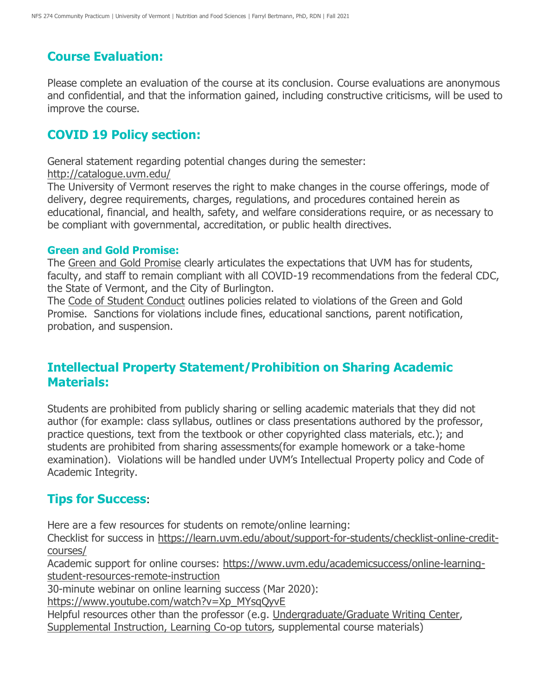## **Course Evaluation:**

Please complete an evaluation of the course at its conclusion. Course evaluations are anonymous and confidential, and that the information gained, including constructive criticisms, will be used to improve the course.

#### **COVID 19 Policy section:**

General statement regarding potential changes during the semester:

<http://catalogue.uvm.edu/>

The University of Vermont reserves the right to make changes in the course offerings, mode of delivery, degree requirements, charges, regulations, and procedures contained herein as educational, financial, and health, safety, and welfare considerations require, or as necessary to be compliant with governmental, accreditation, or public health directives.

#### **Green and Gold Promise:**

The [Green and Gold Promise](https://www.uvm.edu/deanofstudents/green-and-gold-promise) clearly articulates the expectations that UVM has for students, faculty, and staff to remain compliant with all COVID-19 recommendations from the federal CDC, the State of Vermont, and the City of Burlington.

The [Code of Student Conduct](https://www.uvm.edu/sites/default/files/UVM-Policies/policies/studentcode.pdf) outlines policies related to violations of the Green and Gold Promise. Sanctions for violations include fines, educational sanctions, parent notification, probation, and suspension.

## **Intellectual Property Statement/Prohibition on Sharing Academic Materials:**

Students are prohibited from publicly sharing or selling academic materials that they did not author (for example: class syllabus, outlines or class presentations authored by the professor, practice questions, text from the textbook or other copyrighted class materials, etc.); and students are prohibited from sharing assessments(for example homework or a take-home examination). Violations will be handled under UVM's Intellectual Property policy and Code of Academic Integrity.

## **Tips for Success**:

Here are a few resources for students on remote/online learning:

Checklist for success in [https://learn.uvm.edu/about/support-for-students/checklist-online-credit](https://learn.uvm.edu/about/support-for-students/checklist-online-credit-courses/)[courses/](https://learn.uvm.edu/about/support-for-students/checklist-online-credit-courses/)

Academic support for online courses: [https://www.uvm.edu/academicsuccess/online-learning](https://www.uvm.edu/academicsuccess/online-learning-student-resources-remote-instruction)[student-resources-remote-instruction](https://www.uvm.edu/academicsuccess/online-learning-student-resources-remote-instruction)

30-minute webinar on online learning success (Mar 2020):

[https://www.youtube.com/watch?v=Xp\\_MYsqQyvE](https://www.youtube.com/watch?v=Xp_MYsqQyvE)

Helpful resources other than the professor (e.g. [Undergraduate/Graduate Writing Center,](https://www.uvm.edu/uwi/writingcenter)

[Supplemental Instruction, Learning Co-op tutors,](https://www.uvm.edu/academicsuccess/tutoring_center) supplemental course materials)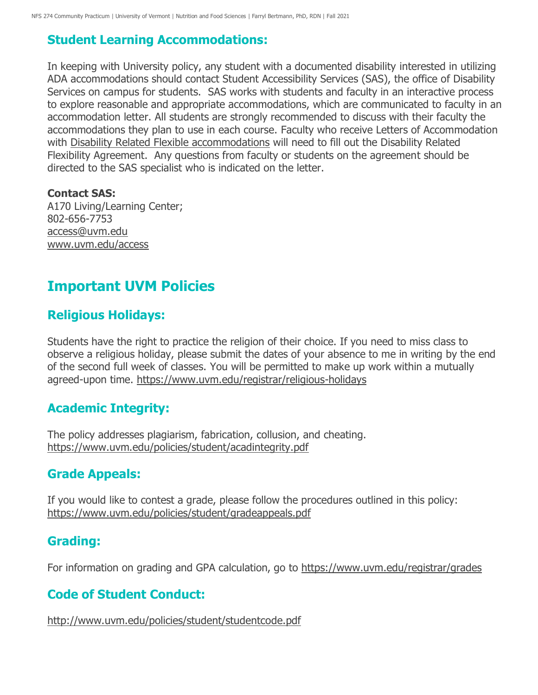# **Student Learning Accommodations:**

In keeping with University policy, any student with a documented disability interested in utilizing ADA accommodations should contact Student Accessibility Services (SAS), the office of Disability Services on campus for students. SAS works with students and faculty in an interactive process to explore reasonable and appropriate accommodations, which are communicated to faculty in an accommodation letter. All students are strongly recommended to discuss with their faculty the accommodations they plan to use in each course. Faculty who receive Letters of Accommodation with [Disability Related Flexible accommodations](https://www.uvm.edu/academicsuccess/forms/disability-related-flexibility-agreement) will need to fill out the Disability Related Flexibility Agreement. Any questions from faculty or students on the agreement should be directed to the SAS specialist who is indicated on the letter.

#### **Contact SAS:**

A170 Living/Learning Center; 802-656-7753 [access@uvm.edu](mailto:access@uvm.edu) [www.uvm.edu/access](http://www.uvm.edu/access)

# **Important UVM Policies**

## **Religious Holidays:**

Students have the right to practice the religion of their choice. If you need to miss class to observe a religious holiday, please submit the dates of your absence to me in writing by the end of the second full week of classes. You will be permitted to make up work within a mutually agreed-upon time.<https://www.uvm.edu/registrar/religious-holidays>

## **Academic Integrity:**

The policy addresses plagiarism, fabrication, collusion, and cheating. <https://www.uvm.edu/policies/student/acadintegrity.pdf>

# **Grade Appeals:**

If you would like to contest a grade, please follow the procedures outlined in this policy: <https://www.uvm.edu/policies/student/gradeappeals.pdf>

#### **Grading:**

For information on grading and GPA calculation, go to <https://www.uvm.edu/registrar/grades>

# **Code of Student Conduct:**

<http://www.uvm.edu/policies/student/studentcode.pdf>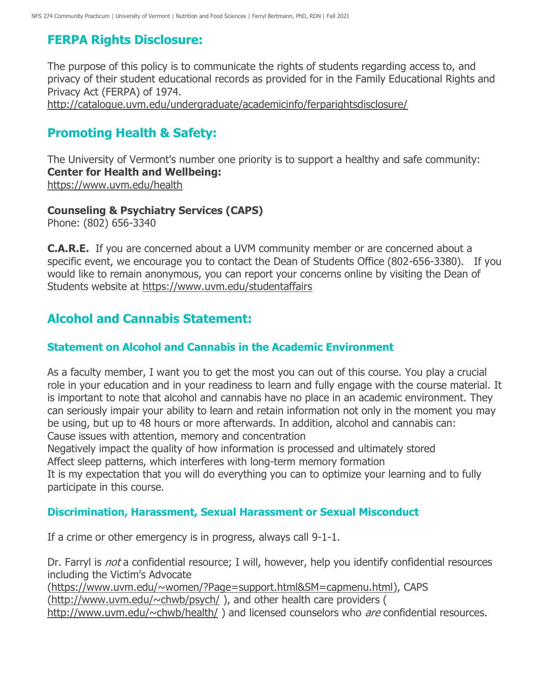# **FERPA Rights Disclosure:**

The purpose of this policy is to communicate the rights of students regarding access to, and privacy of their student educational records as provided for in the Family Educational Rights and Privacy Act (FERPA) of 1974. <http://catalogue.uvm.edu/undergraduate/academicinfo/ferparightsdisclosure/>

## **Promoting Health & Safety:**

The University of Vermont's number one priority is to support a healthy and safe community: **Center for Health and Wellbeing:** <https://www.uvm.edu/health>

#### **Counseling & Psychiatry Services (CAPS)**

Phone: (802) 656-3340

**C.A.R.E.** If you are concerned about a UVM community member or are concerned about a specific event, we encourage you to contact the Dean of Students Office (802-656-3380). If you would like to remain anonymous, you can report your concerns online by visiting the Dean of Students website at <https://www.uvm.edu/studentaffairs>

## **Alcohol and Cannabis Statement:**

#### **Statement on Alcohol and Cannabis in the Academic Environment**

As a faculty member, I want you to get the most you can out of this course. You play a crucial role in your education and in your readiness to learn and fully engage with the course material. It is important to note that alcohol and cannabis have no place in an academic environment. They can seriously impair your ability to learn and retain information not only in the moment you may be using, but up to 48 hours or more afterwards. In addition, alcohol and cannabis can: Cause issues with attention, memory and concentration

Negatively impact the quality of how information is processed and ultimately stored Affect sleep patterns, which interferes with long-term memory formation

It is my expectation that you will do everything you can to optimize your learning and to fully participate in this course.

#### **Discrimination, Harassment, Sexual Harassment or Sexual Misconduct**

If a crime or other emergency is in progress, always call 9-1-1.

Dr. Farryl is *not* a confidential resource; I will, however, help you identify confidential resources including the Victim's Advocate

[\(https://www.uvm.edu/~women/?Page=support.html&SM=capmenu.html\)](https://www.uvm.edu/~women/?Page=support.html&SM=capmenu.html), CAPS

[\(http://www.uvm.edu/~chwb/psych/](http://www.uvm.edu/~chwb/psych/) ), and other health care providers (

<http://www.uvm.edu/~chwb/health/>) and licensed counselors who are confidential resources.